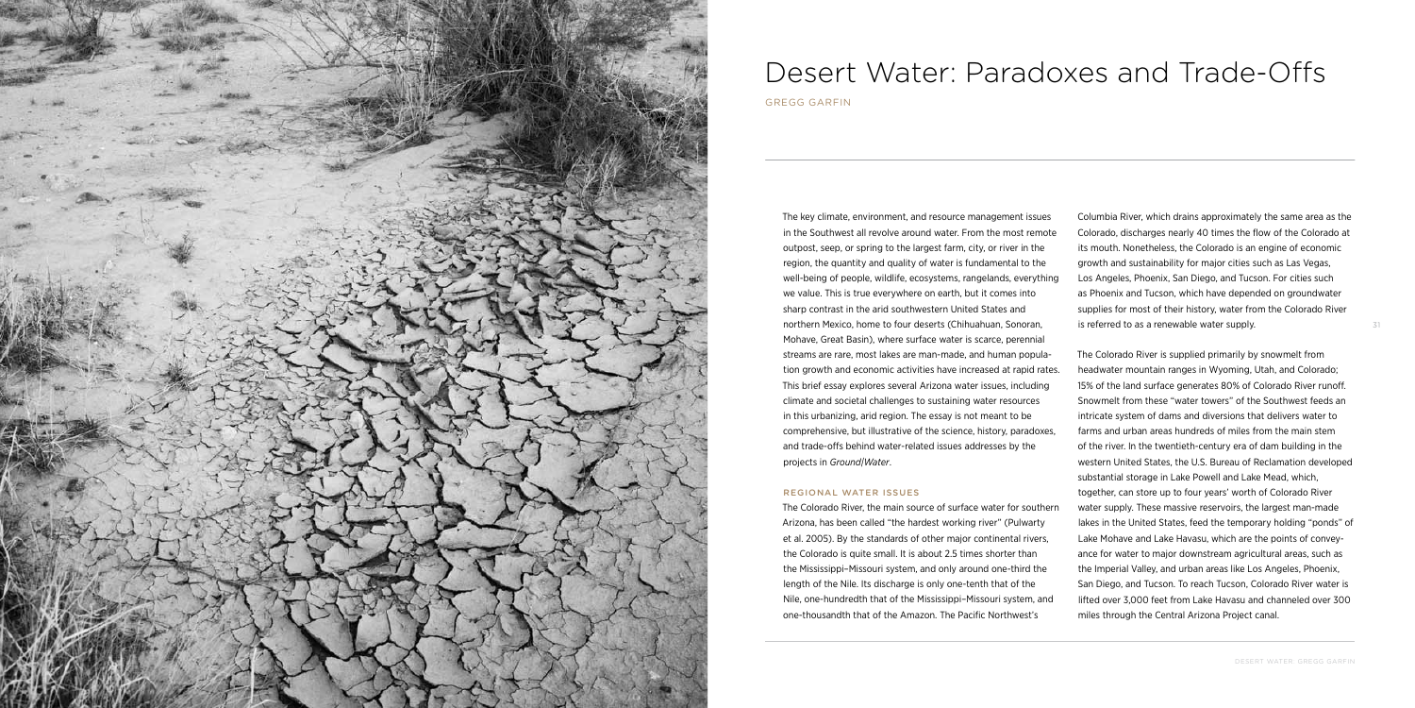

# Desert Water: Paradoxes and Trade-Offs

Gregg Garfin

The key climate, environment, and resource management issues in the Southwest all revolve around water. From the most remote outpost, seep, or spring to the largest farm, city, or river in the region, the quantity and quality of water is fundamental to the well-being of people, wildlife, ecosystems, rangelands, everything we value. This is true everywhere on earth, but it comes into sharp contrast in the arid southwestern United States and northern Mexico, home to four deserts (Chihuahuan, Sonoran, Mohave, Great Basin), where surface water is scarce, perennial streams are rare, most lakes are man-made, and human population growth and economic activities have increased at rapid rates. This brief essay explores several Arizona water issues, including climate and societal challenges to sustaining water resources in this urbanizing, arid region. The essay is not meant to be comprehensive, but illustrative of the science, history, paradoxes, and trade-offs behind water-related issues addresses by the projects in *Ground|Water*.

## REGIONAL WATER ISSUES

The Colorado River, the main source of surface water for southern Arizona, has been called "the hardest working river" (Pulwarty et al. 2005). By the standards of other major continental rivers, the Colorado is quite small. It is about 2.5 times shorter than the Mississippi–Missouri system, and only around one-third the length of the Nile. Its discharge is only one-tenth that of the Nile, one-hundredth that of the Mississippi–Missouri system, and one-thousandth that of the Amazon. The Pacific Northwest's

Columbia River, which drains approximately the same area as the Colorado, discharges nearly 40 times the flow of the Colorado at its mouth. Nonetheless, the Colorado is an engine of economic growth and sustainability for major cities such as Las Vegas, Los Angeles, Phoenix, San Diego, and Tucson. For cities such as Phoenix and Tucson, which have depended on groundwater supplies for most of their history, water from the Colorado River is referred to as a renewable water supply.

The Colorado River is supplied primarily by snowmelt from headwater mountain ranges in Wyoming, Utah, and Colorado; 15% of the land surface generates 80% of Colorado River runoff. Snowmelt from these "water towers" of the Southwest feeds an intricate system of dams and diversions that delivers water to farms and urban areas hundreds of miles from the main stem of the river. In the twentieth-century era of dam building in the western United States, the U.S. Bureau of Reclamation developed substantial storage in Lake Powell and Lake Mead, which, together, can store up to four years' worth of Colorado River water supply. These massive reservoirs, the largest man-made lakes in the United States, feed the temporary holding "ponds" of Lake Mohave and Lake Havasu, which are the points of conveyance for water to major downstream agricultural areas, such as the Imperial Valley, and urban areas like Los Angeles, Phoenix, San Diego, and Tucson. To reach Tucson, Colorado River water is lifted over 3,000 feet from Lake Havasu and channeled over 300 miles through the Central Arizona Project canal.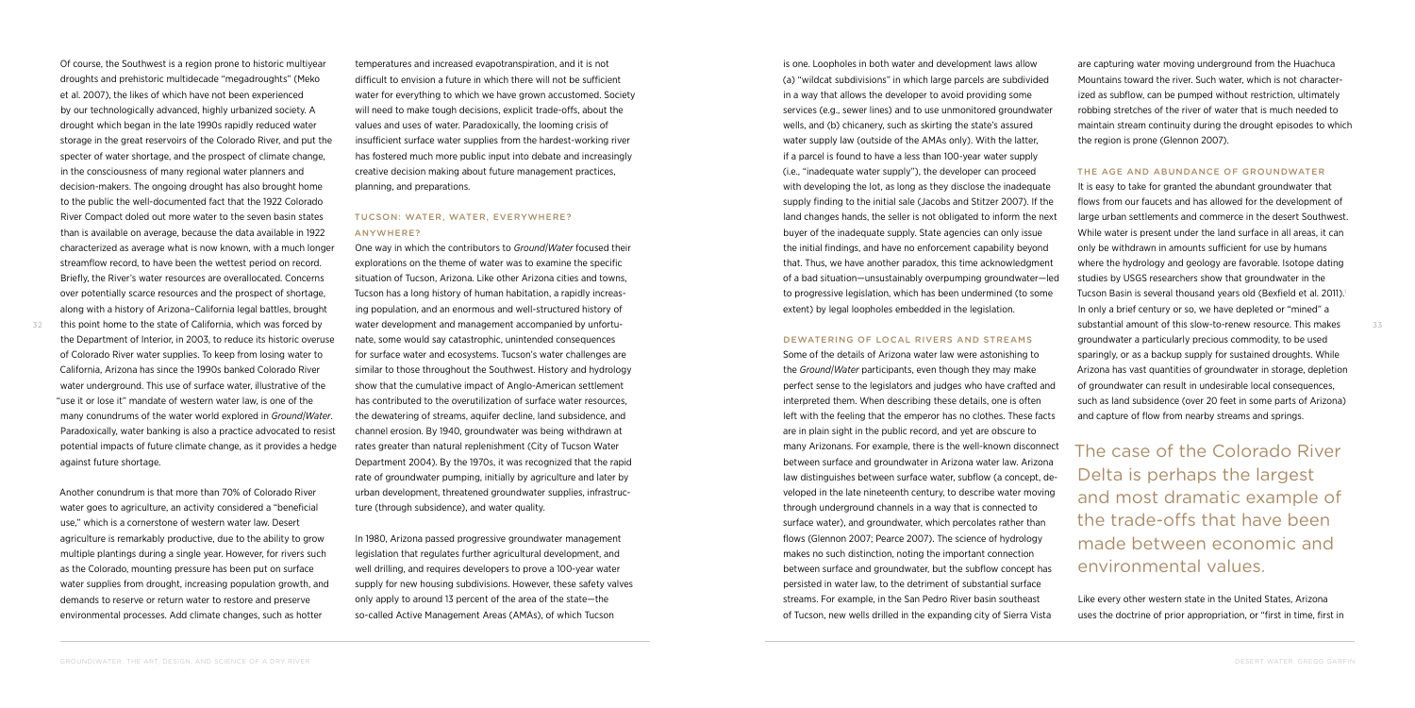Of course, the Southwest is a region prone to historic multiyear droughts and prehistoric multidecade "megadroughts" (Meko et al. 2007), the likes of which have not been experienced by our technologically advanced, highly urbanized society. A drought which began in the late 1990s rapidly reduced water storage in the great reservoirs of the Colorado River, and put the specter of water shortage, and the prospect of climate change, in the consciousness of many regional water planners and decision-makers. The ongoing drought has also brought home to the public the well-documented fact that the 1922 Colorado River Compact doled out more water to the seven basin states than is available on average, because the data available in 1922 characterized as average what is now known, with a much longer streamflow record, to have been the wettest period on record. Briefly, the River's water resources are overallocated. Concerns over potentially scarce resources and the prospect of shortage, along with a history of Arizona–California legal battles, brought this point home to the state of California, which was forced by

the Department of Interior, in 2003, to reduce its historic overuse of Colorado River water supplies. To keep from losing water to California, Arizona has since the 1990s banked Colorado River water underground. This use of surface water, illustrative of the "use it or lose it" mandate of western water law, is one of the many conundrums of the water world explored in *Ground|Water*. Paradoxically, water banking is also a practice advocated to resist potential impacts of future climate change, as it provides a hedge against future shortage.

32 this point home to the state of California, which was forced by water development and management accompanied by unfortu- substantial amount of this slow-to-renew resource. This makes 33 One way in which the contributors to *Ground|Water* focused their explorations on the theme of water was to examine the specific situation of Tucson, Arizona. Like other Arizona cities and towns, Tucson has a long history of human habitation, a rapidly increasing population, and an enormous and well-structured history of nate, some would say catastrophic, unintended consequences for surface water and ecosystems. Tucson's water challenges are similar to those throughout the Southwest. History and hydrology show that the cumulative impact of Anglo-American settlement has contributed to the overutilization of surface water resources, the dewatering of streams, aquifer decline, land subsidence, and channel erosion. By 1940, groundwater was being withdrawn at rates greater than natural replenishment (City of Tucson Water Department 2004). By the 1970s, it was recognized that the rapid rate of groundwater pumping, initially by agriculture and later by urban development, threatened groundwater supplies, infrastructure (through subsidence), and water quality.

Another conundrum is that more than 70% of Colorado River water goes to agriculture, an activity considered a "beneficial" use," which is a cornerstone of western water law. Desert agriculture is remarkably productive, due to the ability to grow multiple plantings during a single year. However, for rivers such as the Colorado, mounting pressure has been put on surface water supplies from drought, increasing population growth, and demands to reserve or return water to restore and preserve environmental processes. Add climate changes, such as hotter

temperatures and increased evapotranspiration, and it is not difficult to envision a future in which there will not be sufficient water for everything to which we have grown accustomed. Society will need to make tough decisions, explicit trade-offs, about the values and uses of water. Paradoxically, the looming crisis of insufficient surface water supplies from the hardest-working river has fostered much more public input into debate and increasingly creative decision making about future management practices, planning, and preparations.

# Tucson: Water, water, everywhere? Anywhere?

It is easy to take for granted the abundant groundwater that flows from our faucets and has allowed for the development of large urban settlements and commerce in the desert Southwest. While water is present under the land surface in all areas, it can only be withdrawn in amounts sufficient for use by humans where the hydrology and geology are favorable. Isotope dating studies by USGS researchers show that groundwater in the Tucson Basin is several thousand years old (Bexfield et al. 2011).<sup>1</sup> In only a brief century or so, we have depleted or "mined" a substantial amount of this slow-to-renew resource. This makes groundwater a particularly precious commodity, to be used sparingly, or as a backup supply for sustained droughts. While Arizona has vast quantities of groundwater in storage, depletion of groundwater can result in undesirable local consequences, such as land subsidence (over 20 feet in some parts of Arizona) and capture of flow from nearby streams and springs.

In 1980, Arizona passed progressive groundwater management legislation that regulates further agricultural development, and well drilling, and requires developers to prove a 100-year water supply for new housing subdivisions. However, these safety valves only apply to around 13 percent of the area of the state—the so-called Active Management Areas (AMAs), of which Tucson

is one. Loopholes in both water and development laws allow (a) "wildcat subdivisions" in which large parcels are subdivided in a way that allows the developer to avoid providing some services (e.g., sewer lines) and to use unmonitored groundwater wells, and (b) chicanery, such as skirting the state's assured water supply law (outside of the AMAs only). With the latter, if a parcel is found to have a less than 100-year water supply (i.e., "inadequate water supply"), the developer can proceed with developing the lot, as long as they disclose the inadequate supply finding to the initial sale (Jacobs and Stitzer 2007). If the land changes hands, the seller is not obligated to inform the next buyer of the inadequate supply. State agencies can only issue the initial findings, and have no enforcement capability beyond that. Thus, we have another paradox, this time acknowledgment of a bad situation—unsustainably overpumping groundwater—led to progressive legislation, which has been undermined (to some extent) by legal loopholes embedded in the legislation.

#### Dewatering of local rivers and streams

Some of the details of Arizona water law were astonishing to the *Ground|Water* participants, even though they may make perfect sense to the legislators and judges who have crafted and interpreted them. When describing these details, one is often left with the feeling that the emperor has no clothes. These facts are in plain sight in the public record, and yet are obscure to many Arizonans. For example, there is the well-known disconnect between surface and groundwater in Arizona water law. Arizona law distinguishes between surface water, subflow (a concept, developed in the late nineteenth century, to describe water moving through underground channels in a way that is connected to surface water), and groundwater, which percolates rather than flows (Glennon 2007; Pearce 2007). The science of hydrology makes no such distinction, noting the important connection between surface and groundwater, but the subflow concept has persisted in water law, to the detriment of substantial surface streams. For example, in the San Pedro River basin southeast of Tucson, new wells drilled in the expanding city of Sierra Vista

are capturing water moving underground from the Huachuca Mountains toward the river. Such water, which is not characterized as subflow, can be pumped without restriction, ultimately robbing stretches of the river of water that is much needed to maintain stream continuity during the drought episodes to which the region is prone (Glennon 2007).

#### THE AGE AND ABUNDANCE OF GROUNDWATER

The case of the Colorado River Delta is perhaps the largest and most dramatic example of the trade-offs that have been made between economic and environmental values.

Like every other western state in the United States, Arizona uses the doctrine of prior appropriation, or "first in time, first in